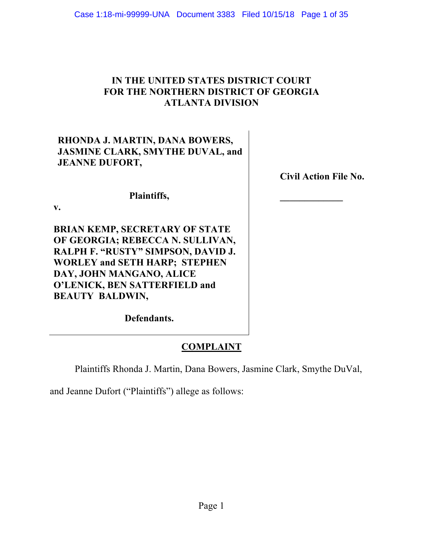# **IN THE UNITED STATES DISTRICT COURT FOR THE NORTHERN DISTRICT OF GEORGIA ATLANTA DIVISION**

# **RHONDA J. MARTIN, DANA BOWERS, JASMINE CLARK, SMYTHE DUVAL, and JEANNE DUFORT,**

**Plaintiffs,**

**v.**

**BRIAN KEMP, SECRETARY OF STATE OF GEORGIA; REBECCA N. SULLIVAN, RALPH F. "RUSTY" SIMPSON, DAVID J. WORLEY and SETH HARP; STEPHEN DAY, JOHN MANGANO, ALICE O'LENICK, BEN SATTERFIELD and BEAUTY BALDWIN,**

**Defendants.**

# **COMPLAINT**

Plaintiffs Rhonda J. Martin, Dana Bowers, Jasmine Clark, Smythe DuVal,

and Jeanne Dufort ("Plaintiffs") allege as follows:

**Civil Action File No.**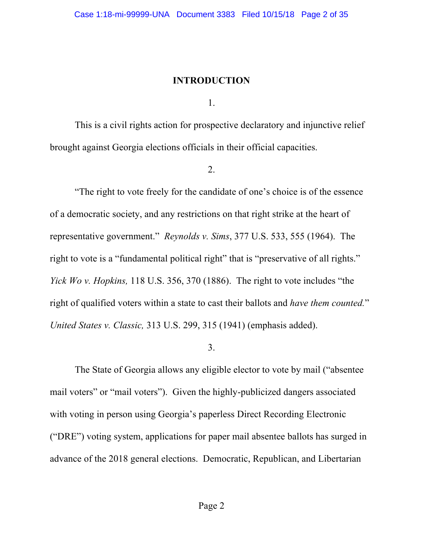#### **INTRODUCTION**

1.

This is a civil rights action for prospective declaratory and injunctive relief brought against Georgia elections officials in their official capacities.

2.

"The right to vote freely for the candidate of one's choice is of the essence of a democratic society, and any restrictions on that right strike at the heart of representative government." *Reynolds v. Sims*, 377 U.S. 533, 555 (1964). The right to vote is a "fundamental political right" that is "preservative of all rights." *Yick Wo v. Hopkins,* 118 U.S. 356, 370 (1886). The right to vote includes "the right of qualified voters within a state to cast their ballots and *have them counted.*" *United States v. Classic,* 313 U.S. 299, 315 (1941) (emphasis added).

#### 3.

The State of Georgia allows any eligible elector to vote by mail ("absentee mail voters" or "mail voters"). Given the highly-publicized dangers associated with voting in person using Georgia's paperless Direct Recording Electronic ("DRE") voting system, applications for paper mail absentee ballots has surged in advance of the 2018 general elections. Democratic, Republican, and Libertarian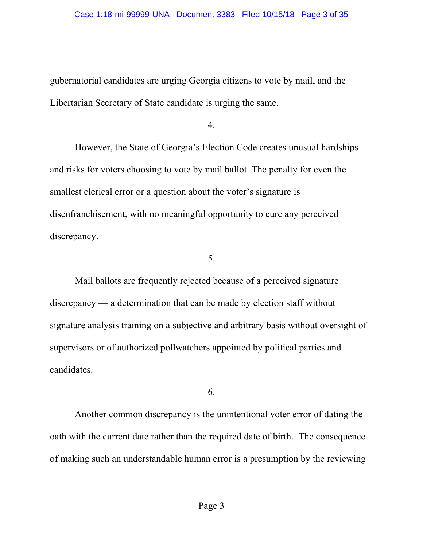gubernatorial candidates are urging Georgia citizens to vote by mail, and the Libertarian Secretary of State candidate is urging the same.

4.

However, the State of Georgia's Election Code creates unusual hardships and risks for voters choosing to vote by mail ballot. The penalty for even the smallest clerical error or a question about the voter's signature is disenfranchisement, with no meaningful opportunity to cure any perceived discrepancy.

5.

Mail ballots are frequently rejected because of a perceived signature discrepancy — a determination that can be made by election staff without signature analysis training on a subjective and arbitrary basis without oversight of supervisors or of authorized pollwatchers appointed by political parties and candidates.

6.

Another common discrepancy is the unintentional voter error of dating the oath with the current date rather than the required date of birth. The consequence of making such an understandable human error is a presumption by the reviewing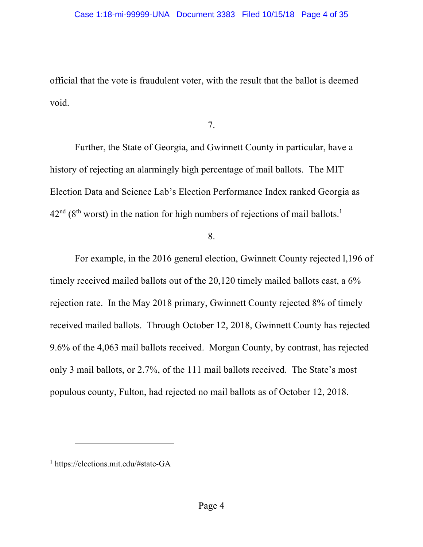official that the vote is fraudulent voter, with the result that the ballot is deemed void.

7.

Further, the State of Georgia, and Gwinnett County in particular, have a history of rejecting an alarmingly high percentage of mail ballots. The MIT Election Data and Science Lab's Election Performance Index ranked Georgia as  $42<sup>nd</sup>$  (8<sup>th</sup> worst) in the nation for high numbers of rejections of mail ballots.<sup>1</sup>

8.

For example, in the 2016 general election, Gwinnett County rejected l,196 of timely received mailed ballots out of the 20,120 timely mailed ballots cast, a 6% rejection rate. In the May 2018 primary, Gwinnett County rejected 8% of timely received mailed ballots. Through October 12, 2018, Gwinnett County has rejected 9.6% of the 4,063 mail ballots received. Morgan County, by contrast, has rejected only 3 mail ballots, or 2.7%, of the 111 mail ballots received. The State's most populous county, Fulton, had rejected no mail ballots as of October 12, 2018.

1

<sup>1</sup> https://elections.mit.edu/#state-GA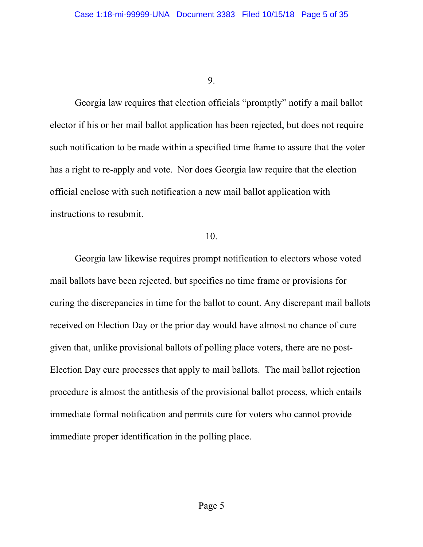Georgia law requires that election officials "promptly" notify a mail ballot elector if his or her mail ballot application has been rejected, but does not require such notification to be made within a specified time frame to assure that the voter has a right to re-apply and vote. Nor does Georgia law require that the election official enclose with such notification a new mail ballot application with instructions to resubmit.

#### 10.

Georgia law likewise requires prompt notification to electors whose voted mail ballots have been rejected, but specifies no time frame or provisions for curing the discrepancies in time for the ballot to count. Any discrepant mail ballots received on Election Day or the prior day would have almost no chance of cure given that, unlike provisional ballots of polling place voters, there are no post-Election Day cure processes that apply to mail ballots. The mail ballot rejection procedure is almost the antithesis of the provisional ballot process, which entails immediate formal notification and permits cure for voters who cannot provide immediate proper identification in the polling place.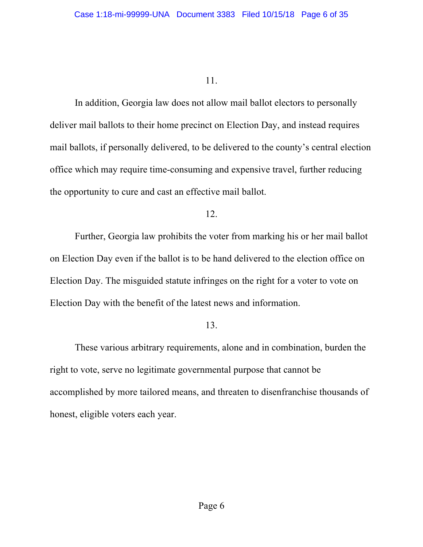In addition, Georgia law does not allow mail ballot electors to personally deliver mail ballots to their home precinct on Election Day, and instead requires mail ballots, if personally delivered, to be delivered to the county's central election office which may require time-consuming and expensive travel, further reducing the opportunity to cure and cast an effective mail ballot.

### 12.

Further, Georgia law prohibits the voter from marking his or her mail ballot on Election Day even if the ballot is to be hand delivered to the election office on Election Day. The misguided statute infringes on the right for a voter to vote on Election Day with the benefit of the latest news and information.

## 13.

These various arbitrary requirements, alone and in combination, burden the right to vote, serve no legitimate governmental purpose that cannot be accomplished by more tailored means, and threaten to disenfranchise thousands of honest, eligible voters each year.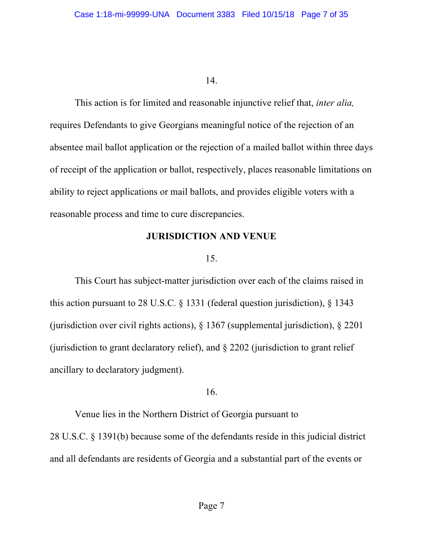This action is for limited and reasonable injunctive relief that, *inter alia,*  requires Defendants to give Georgians meaningful notice of the rejection of an absentee mail ballot application or the rejection of a mailed ballot within three days of receipt of the application or ballot, respectively, places reasonable limitations on ability to reject applications or mail ballots, and provides eligible voters with a reasonable process and time to cure discrepancies.

#### **JURISDICTION AND VENUE**

#### 15.

This Court has subject-matter jurisdiction over each of the claims raised in this action pursuant to 28 U.S.C. § 1331 (federal question jurisdiction), § 1343 (jurisdiction over civil rights actions), § 1367 (supplemental jurisdiction), § 2201 (jurisdiction to grant declaratory relief), and § 2202 (jurisdiction to grant relief ancillary to declaratory judgment).

## 16.

Venue lies in the Northern District of Georgia pursuant to 28 U.S.C. § 1391(b) because some of the defendants reside in this judicial district and all defendants are residents of Georgia and a substantial part of the events or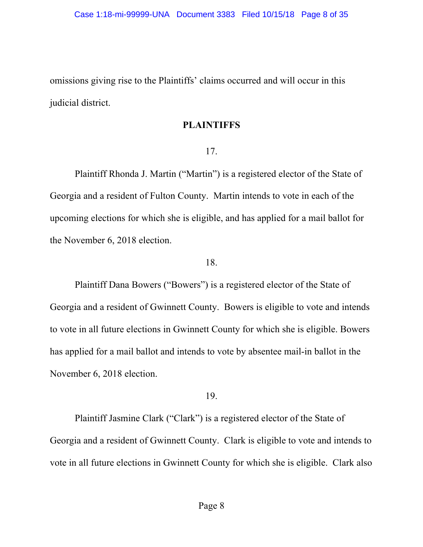omissions giving rise to the Plaintiffs' claims occurred and will occur in this judicial district.

#### **PLAINTIFFS**

### 17.

Plaintiff Rhonda J. Martin ("Martin") is a registered elector of the State of Georgia and a resident of Fulton County. Martin intends to vote in each of the upcoming elections for which she is eligible, and has applied for a mail ballot for the November 6, 2018 election.

## 18.

Plaintiff Dana Bowers ("Bowers") is a registered elector of the State of Georgia and a resident of Gwinnett County. Bowers is eligible to vote and intends to vote in all future elections in Gwinnett County for which she is eligible. Bowers has applied for a mail ballot and intends to vote by absentee mail-in ballot in the November 6, 2018 election.

## 19.

Plaintiff Jasmine Clark ("Clark") is a registered elector of the State of Georgia and a resident of Gwinnett County. Clark is eligible to vote and intends to vote in all future elections in Gwinnett County for which she is eligible. Clark also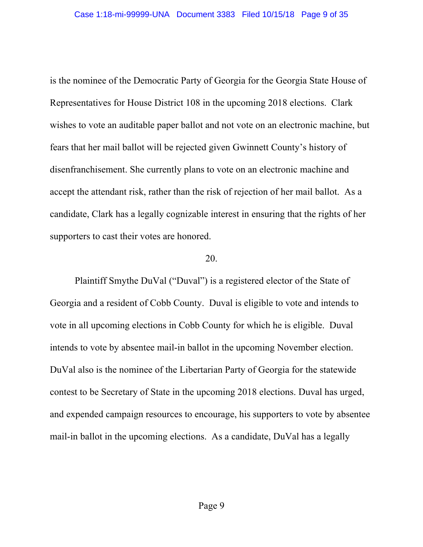is the nominee of the Democratic Party of Georgia for the Georgia State House of Representatives for House District 108 in the upcoming 2018 elections. Clark wishes to vote an auditable paper ballot and not vote on an electronic machine, but fears that her mail ballot will be rejected given Gwinnett County's history of disenfranchisement. She currently plans to vote on an electronic machine and accept the attendant risk, rather than the risk of rejection of her mail ballot. As a candidate, Clark has a legally cognizable interest in ensuring that the rights of her supporters to cast their votes are honored.

#### 20.

Plaintiff Smythe DuVal ("Duval") is a registered elector of the State of Georgia and a resident of Cobb County. Duval is eligible to vote and intends to vote in all upcoming elections in Cobb County for which he is eligible. Duval intends to vote by absentee mail-in ballot in the upcoming November election. DuVal also is the nominee of the Libertarian Party of Georgia for the statewide contest to be Secretary of State in the upcoming 2018 elections. Duval has urged, and expended campaign resources to encourage, his supporters to vote by absentee mail-in ballot in the upcoming elections. As a candidate, DuVal has a legally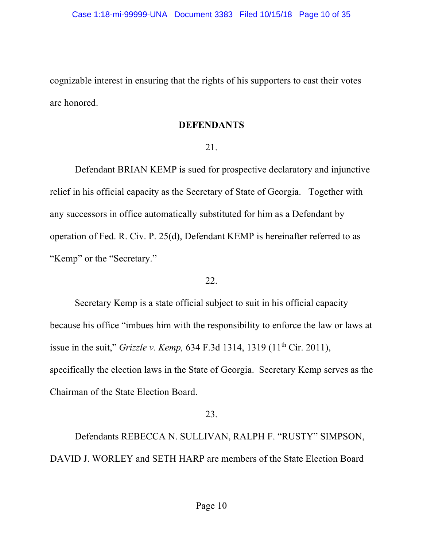cognizable interest in ensuring that the rights of his supporters to cast their votes are honored.

### **DEFENDANTS**

## 21.

Defendant BRIAN KEMP is sued for prospective declaratory and injunctive relief in his official capacity as the Secretary of State of Georgia. Together with any successors in office automatically substituted for him as a Defendant by operation of Fed. R. Civ. P. 25(d), Defendant KEMP is hereinafter referred to as "Kemp" or the "Secretary."

### 22.

Secretary Kemp is a state official subject to suit in his official capacity because his office "imbues him with the responsibility to enforce the law or laws at issue in the suit," *Grizzle v. Kemp*, 634 F.3d 1314, 1319 (11<sup>th</sup> Cir. 2011), specifically the election laws in the State of Georgia. Secretary Kemp serves as the Chairman of the State Election Board.

## 23.

Defendants REBECCA N. SULLIVAN, RALPH F. "RUSTY" SIMPSON, DAVID J. WORLEY and SETH HARP are members of the State Election Board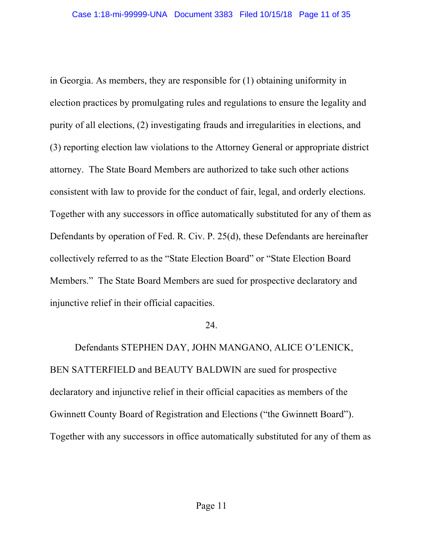in Georgia. As members, they are responsible for (1) obtaining uniformity in election practices by promulgating rules and regulations to ensure the legality and purity of all elections, (2) investigating frauds and irregularities in elections, and (3) reporting election law violations to the Attorney General or appropriate district attorney. The State Board Members are authorized to take such other actions consistent with law to provide for the conduct of fair, legal, and orderly elections. Together with any successors in office automatically substituted for any of them as Defendants by operation of Fed. R. Civ. P. 25(d), these Defendants are hereinafter collectively referred to as the "State Election Board" or "State Election Board Members." The State Board Members are sued for prospective declaratory and injunctive relief in their official capacities.

### 24.

Defendants STEPHEN DAY, JOHN MANGANO, ALICE O'LENICK, BEN SATTERFIELD and BEAUTY BALDWIN are sued for prospective declaratory and injunctive relief in their official capacities as members of the Gwinnett County Board of Registration and Elections ("the Gwinnett Board"). Together with any successors in office automatically substituted for any of them as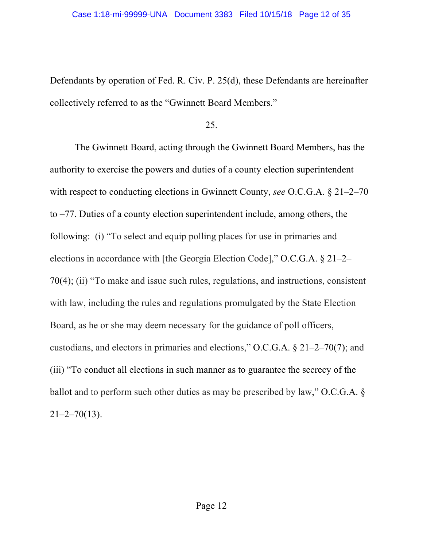Defendants by operation of Fed. R. Civ. P. 25(d), these Defendants are hereinafter collectively referred to as the "Gwinnett Board Members."

25.

The Gwinnett Board, acting through the Gwinnett Board Members, has the authority to exercise the powers and duties of a county election superintendent with respect to conducting elections in Gwinnett County, *see* O.C.G.A. § 21–2–70 to –77. Duties of a county election superintendent include, among others, the following: (i) "To select and equip polling places for use in primaries and elections in accordance with [the Georgia Election Code]," O.C.G.A. § 21–2– 70(4); (ii) "To make and issue such rules, regulations, and instructions, consistent with law, including the rules and regulations promulgated by the State Election Board, as he or she may deem necessary for the guidance of poll officers, custodians, and electors in primaries and elections," O.C.G.A. § 21–2–70(7); and (iii) "To conduct all elections in such manner as to guarantee the secrecy of the ballot and to perform such other duties as may be prescribed by law," O.C.G.A. §  $21 - 2 - 70(13)$ .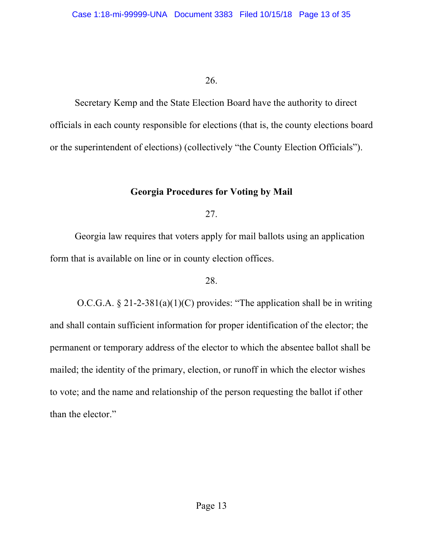Secretary Kemp and the State Election Board have the authority to direct officials in each county responsible for elections (that is, the county elections board or the superintendent of elections) (collectively "the County Election Officials").

## **Georgia Procedures for Voting by Mail**

27.

Georgia law requires that voters apply for mail ballots using an application form that is available on line or in county election offices.

## 28.

O.C.G.A.  $\S 21-2-381(a)(1)(C)$  provides: "The application shall be in writing and shall contain sufficient information for proper identification of the elector; the permanent or temporary address of the elector to which the absentee ballot shall be mailed; the identity of the primary, election, or runoff in which the elector wishes to vote; and the name and relationship of the person requesting the ballot if other than the elector."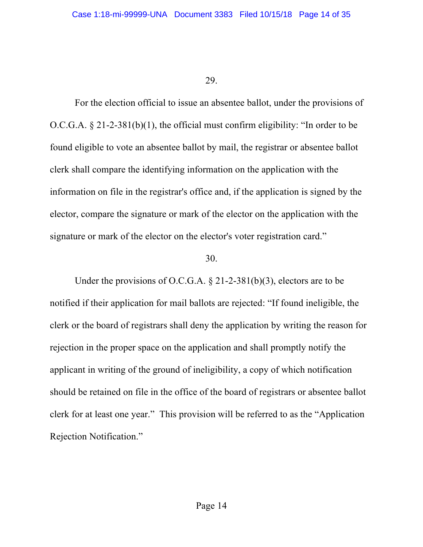For the election official to issue an absentee ballot, under the provisions of O.C.G.A. § 21-2-381(b)(1), the official must confirm eligibility: "In order to be found eligible to vote an absentee ballot by mail, the registrar or absentee ballot clerk shall compare the identifying information on the application with the information on file in the registrar's office and, if the application is signed by the elector, compare the signature or mark of the elector on the application with the signature or mark of the elector on the elector's voter registration card."

#### 30.

Under the provisions of O.C.G.A. § 21-2-381(b)(3), electors are to be notified if their application for mail ballots are rejected: "If found ineligible, the clerk or the board of registrars shall deny the application by writing the reason for rejection in the proper space on the application and shall promptly notify the applicant in writing of the ground of ineligibility, a copy of which notification should be retained on file in the office of the board of registrars or absentee ballot clerk for at least one year." This provision will be referred to as the "Application Rejection Notification."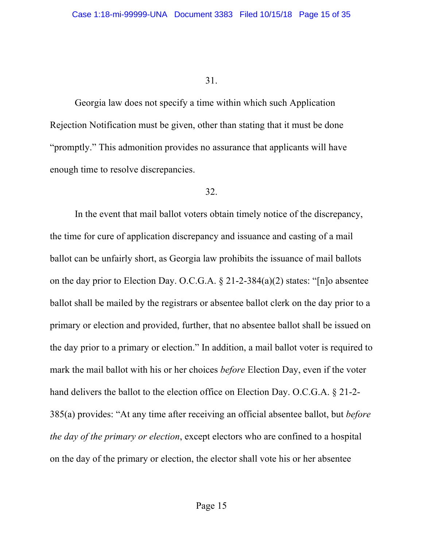Georgia law does not specify a time within which such Application Rejection Notification must be given, other than stating that it must be done "promptly." This admonition provides no assurance that applicants will have enough time to resolve discrepancies.

## 32.

In the event that mail ballot voters obtain timely notice of the discrepancy, the time for cure of application discrepancy and issuance and casting of a mail ballot can be unfairly short, as Georgia law prohibits the issuance of mail ballots on the day prior to Election Day. O.C.G.A. § 21-2-384(a)(2) states: "[n]o absentee ballot shall be mailed by the registrars or absentee ballot clerk on the day prior to a primary or election and provided, further, that no absentee ballot shall be issued on the day prior to a primary or election." In addition, a mail ballot voter is required to mark the mail ballot with his or her choices *before* Election Day, even if the voter hand delivers the ballot to the election office on Election Day. O.C.G.A. § 21-2- 385(a) provides: "At any time after receiving an official absentee ballot, but *before the day of the primary or election*, except electors who are confined to a hospital on the day of the primary or election, the elector shall vote his or her absentee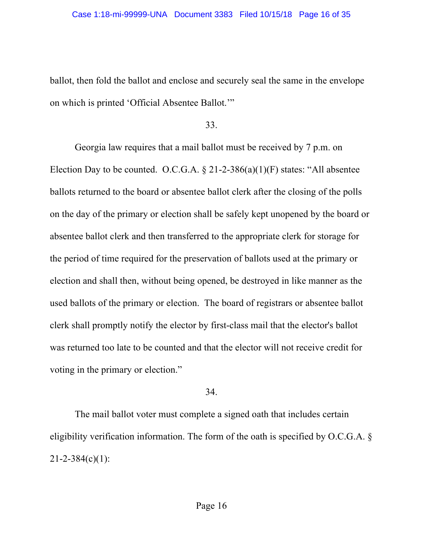ballot, then fold the ballot and enclose and securely seal the same in the envelope on which is printed 'Official Absentee Ballot.'"

33.

Georgia law requires that a mail ballot must be received by 7 p.m. on Election Day to be counted. O.C.G.A.  $\S 21-2-386(a)(1)(F)$  states: "All absentee ballots returned to the board or absentee ballot clerk after the closing of the polls on the day of the primary or election shall be safely kept unopened by the board or absentee ballot clerk and then transferred to the appropriate clerk for storage for the period of time required for the preservation of ballots used at the primary or election and shall then, without being opened, be destroyed in like manner as the used ballots of the primary or election. The board of registrars or absentee ballot clerk shall promptly notify the elector by first-class mail that the elector's ballot was returned too late to be counted and that the elector will not receive credit for voting in the primary or election."

## 34.

The mail ballot voter must complete a signed oath that includes certain eligibility verification information. The form of the oath is specified by O.C.G.A. §  $21 - 2 - 384(c)(1)$ :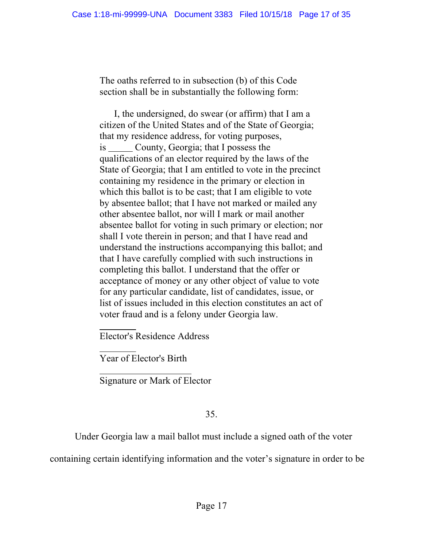The oaths referred to in subsection (b) of this Code section shall be in substantially the following form:

 I, the undersigned, do swear (or affirm) that I am a citizen of the United States and of the State of Georgia; that my residence address, for voting purposes, is County, Georgia; that I possess the qualifications of an elector required by the laws of the State of Georgia; that I am entitled to vote in the precinct containing my residence in the primary or election in which this ballot is to be cast; that I am eligible to vote by absentee ballot; that I have not marked or mailed any other absentee ballot, nor will I mark or mail another absentee ballot for voting in such primary or election; nor shall I vote therein in person; and that I have read and understand the instructions accompanying this ballot; and that I have carefully complied with such instructions in completing this ballot. I understand that the offer or acceptance of money or any other object of value to vote for any particular candidate, list of candidates, issue, or list of issues included in this election constitutes an act of voter fraud and is a felony under Georgia law.

Elector's Residence Address

Year of Elector's Birth

Signature or Mark of Elector

## 35.

Under Georgia law a mail ballot must include a signed oath of the voter

containing certain identifying information and the voter's signature in order to be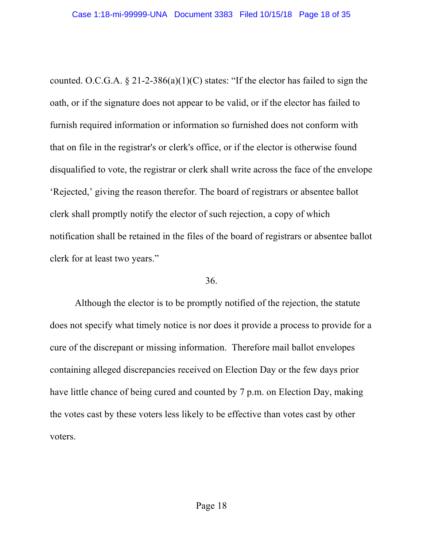counted. O.C.G.A.  $\S 21-2-386(a)(1)(C)$  states: "If the elector has failed to sign the oath, or if the signature does not appear to be valid, or if the elector has failed to furnish required information or information so furnished does not conform with that on file in the registrar's or clerk's office, or if the elector is otherwise found disqualified to vote, the registrar or clerk shall write across the face of the envelope 'Rejected,' giving the reason therefor. The board of registrars or absentee ballot clerk shall promptly notify the elector of such rejection, a copy of which notification shall be retained in the files of the board of registrars or absentee ballot clerk for at least two years."

### 36.

Although the elector is to be promptly notified of the rejection, the statute does not specify what timely notice is nor does it provide a process to provide for a cure of the discrepant or missing information. Therefore mail ballot envelopes containing alleged discrepancies received on Election Day or the few days prior have little chance of being cured and counted by 7 p.m. on Election Day, making the votes cast by these voters less likely to be effective than votes cast by other voters.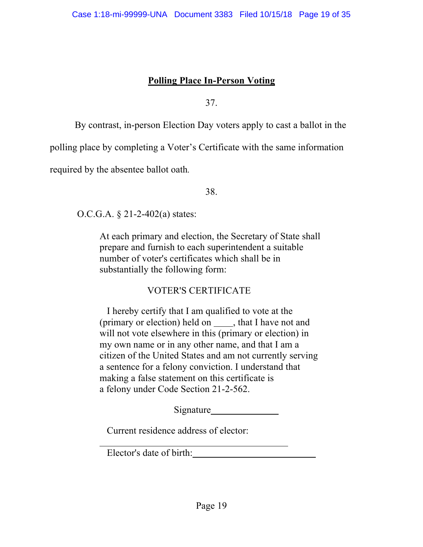# **Polling Place In-Person Voting**

37.

By contrast, in-person Election Day voters apply to cast a ballot in the

polling place by completing a Voter's Certificate with the same information

required by the absentee ballot oath*.*

38.

O.C.G.A. § 21-2-402(a) states:

At each primary and election, the Secretary of State shall prepare and furnish to each superintendent a suitable number of voter's certificates which shall be in substantially the following form:

# VOTER'S CERTIFICATE

 I hereby certify that I am qualified to vote at the (primary or election) held on  $\_\_\_\$ , that I have not and will not vote elsewhere in this (primary or election) in my own name or in any other name, and that I am a citizen of the United States and am not currently serving a sentence for a felony conviction. I understand that making a false statement on this certificate is a felony under Code Section 21-2-562.

Signature Signature

Current residence address of elector:

Elector's date of birth: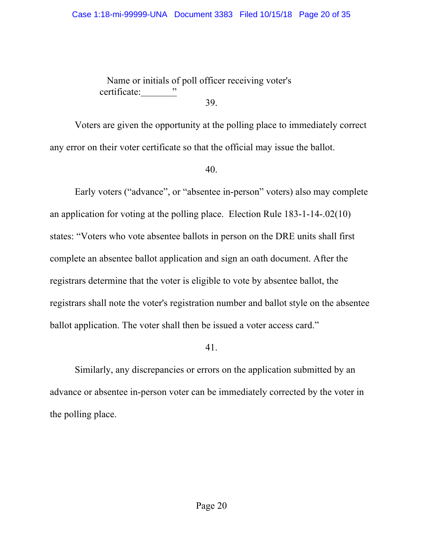#### Case 1:18-mi-99999-UNA Document 3383 Filed 10/15/18 Page 20 of 35

 Name or initials of poll officer receiving voter's certificate: " 39.

Voters are given the opportunity at the polling place to immediately correct any error on their voter certificate so that the official may issue the ballot.

40.

Early voters ("advance", or "absentee in-person" voters) also may complete an application for voting at the polling place. Election Rule 183-1-14-.02(10) states: "Voters who vote absentee ballots in person on the DRE units shall first complete an absentee ballot application and sign an oath document. After the registrars determine that the voter is eligible to vote by absentee ballot, the registrars shall note the voter's registration number and ballot style on the absentee ballot application. The voter shall then be issued a voter access card."

41.

Similarly, any discrepancies or errors on the application submitted by an advance or absentee in-person voter can be immediately corrected by the voter in the polling place.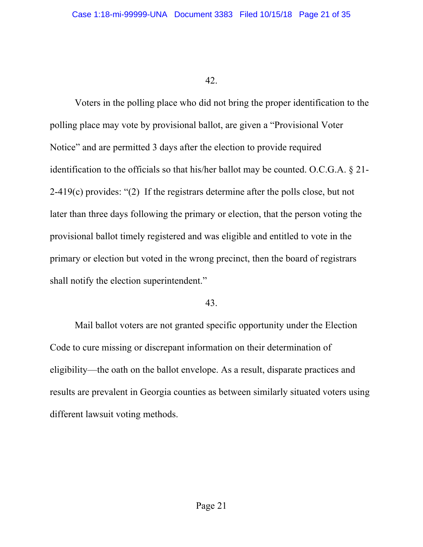Voters in the polling place who did not bring the proper identification to the polling place may vote by provisional ballot, are given a "Provisional Voter Notice" and are permitted 3 days after the election to provide required identification to the officials so that his/her ballot may be counted. O.C.G.A. § 21- 2-419(c) provides: "(2) If the registrars determine after the polls close, but not later than three days following the primary or election, that the person voting the provisional ballot timely registered and was eligible and entitled to vote in the primary or election but voted in the wrong precinct, then the board of registrars shall notify the election superintendent."

#### 43.

Mail ballot voters are not granted specific opportunity under the Election Code to cure missing or discrepant information on their determination of eligibility—the oath on the ballot envelope. As a result, disparate practices and results are prevalent in Georgia counties as between similarly situated voters using different lawsuit voting methods.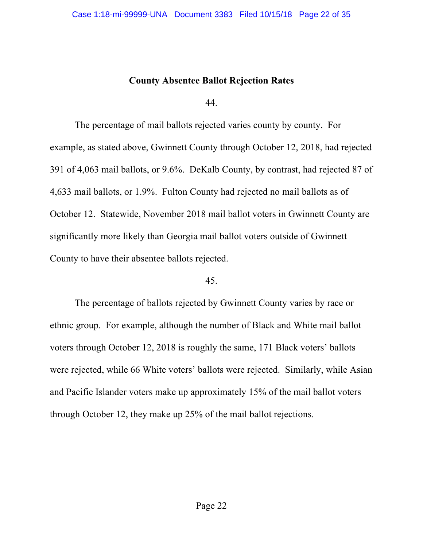## **County Absentee Ballot Rejection Rates**

44.

The percentage of mail ballots rejected varies county by county. For example, as stated above, Gwinnett County through October 12, 2018, had rejected 391 of 4,063 mail ballots, or 9.6%. DeKalb County, by contrast, had rejected 87 of 4,633 mail ballots, or 1.9%. Fulton County had rejected no mail ballots as of October 12. Statewide, November 2018 mail ballot voters in Gwinnett County are significantly more likely than Georgia mail ballot voters outside of Gwinnett County to have their absentee ballots rejected.

### 45.

The percentage of ballots rejected by Gwinnett County varies by race or ethnic group. For example, although the number of Black and White mail ballot voters through October 12, 2018 is roughly the same, 171 Black voters' ballots were rejected, while 66 White voters' ballots were rejected. Similarly, while Asian and Pacific Islander voters make up approximately 15% of the mail ballot voters through October 12, they make up 25% of the mail ballot rejections.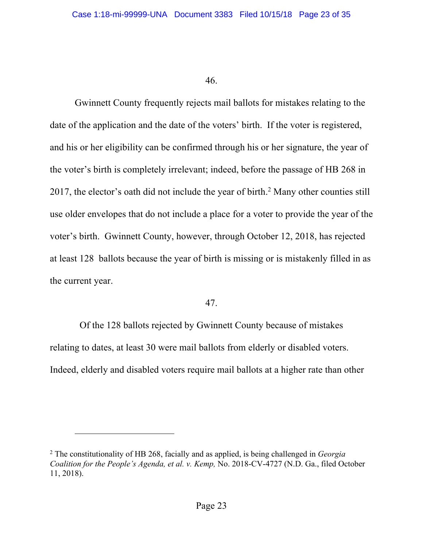Gwinnett County frequently rejects mail ballots for mistakes relating to the date of the application and the date of the voters' birth. If the voter is registered, and his or her eligibility can be confirmed through his or her signature, the year of the voter's birth is completely irrelevant; indeed, before the passage of HB 268 in 2017, the elector's oath did not include the year of birth.<sup>2</sup> Many other counties still use older envelopes that do not include a place for a voter to provide the year of the voter's birth. Gwinnett County, however, through October 12, 2018, has rejected at least 128 ballots because the year of birth is missing or is mistakenly filled in as the current year.

### 47.

 Of the 128 ballots rejected by Gwinnett County because of mistakes relating to dates, at least 30 were mail ballots from elderly or disabled voters. Indeed, elderly and disabled voters require mail ballots at a higher rate than other

1

<sup>2</sup> The constitutionality of HB 268, facially and as applied, is being challenged in *Georgia Coalition for the People's Agenda, et al. v. Kemp,* No. 2018-CV-4727 (N.D. Ga., filed October 11, 2018).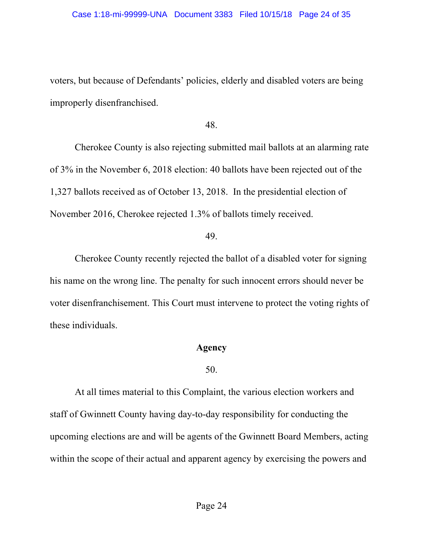#### Case 1:18-mi-99999-UNA Document 3383 Filed 10/15/18 Page 24 of 35

voters, but because of Defendants' policies, elderly and disabled voters are being improperly disenfranchised.

48.

Cherokee County is also rejecting submitted mail ballots at an alarming rate of 3% in the November 6, 2018 election: 40 ballots have been rejected out of the 1,327 ballots received as of October 13, 2018. In the presidential election of November 2016, Cherokee rejected 1.3% of ballots timely received.

## 49.

Cherokee County recently rejected the ballot of a disabled voter for signing his name on the wrong line. The penalty for such innocent errors should never be voter disenfranchisement. This Court must intervene to protect the voting rights of these individuals.

## **Agency**

## 50.

At all times material to this Complaint, the various election workers and staff of Gwinnett County having day-to-day responsibility for conducting the upcoming elections are and will be agents of the Gwinnett Board Members, acting within the scope of their actual and apparent agency by exercising the powers and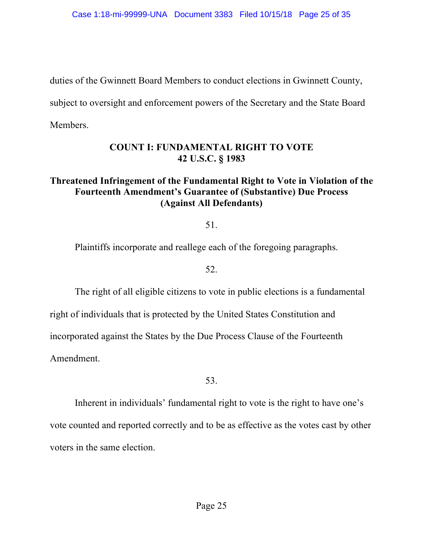duties of the Gwinnett Board Members to conduct elections in Gwinnett County,

subject to oversight and enforcement powers of the Secretary and the State Board

Members.

# **COUNT I: FUNDAMENTAL RIGHT TO VOTE 42 U.S.C. § 1983**

# **Threatened Infringement of the Fundamental Right to Vote in Violation of the Fourteenth Amendment's Guarantee of (Substantive) Due Process (Against All Defendants)**

51.

Plaintiffs incorporate and reallege each of the foregoing paragraphs.

52.

The right of all eligible citizens to vote in public elections is a fundamental right of individuals that is protected by the United States Constitution and incorporated against the States by the Due Process Clause of the Fourteenth Amendment.

53.

Inherent in individuals' fundamental right to vote is the right to have one's vote counted and reported correctly and to be as effective as the votes cast by other voters in the same election.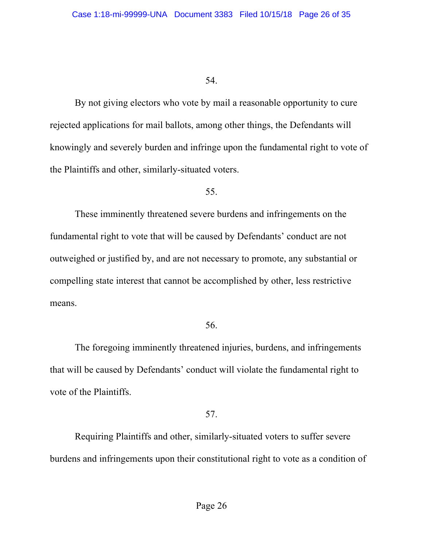By not giving electors who vote by mail a reasonable opportunity to cure rejected applications for mail ballots, among other things, the Defendants will knowingly and severely burden and infringe upon the fundamental right to vote of the Plaintiffs and other, similarly-situated voters.

#### 55.

These imminently threatened severe burdens and infringements on the fundamental right to vote that will be caused by Defendants' conduct are not outweighed or justified by, and are not necessary to promote, any substantial or compelling state interest that cannot be accomplished by other, less restrictive means.

### 56.

The foregoing imminently threatened injuries, burdens, and infringements that will be caused by Defendants' conduct will violate the fundamental right to vote of the Plaintiffs.

## 57.

Requiring Plaintiffs and other, similarly-situated voters to suffer severe burdens and infringements upon their constitutional right to vote as a condition of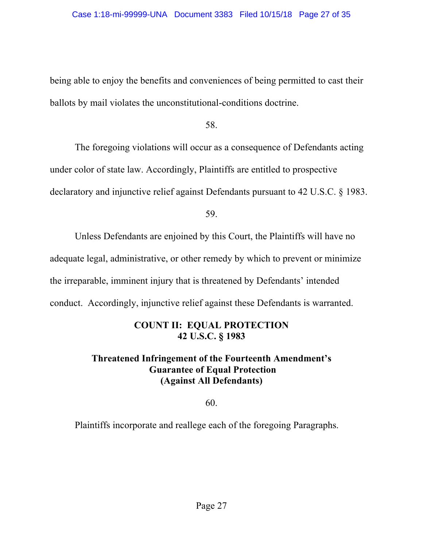being able to enjoy the benefits and conveniences of being permitted to cast their ballots by mail violates the unconstitutional-conditions doctrine.

58.

The foregoing violations will occur as a consequence of Defendants acting under color of state law. Accordingly, Plaintiffs are entitled to prospective declaratory and injunctive relief against Defendants pursuant to 42 U.S.C. § 1983.

59.

Unless Defendants are enjoined by this Court, the Plaintiffs will have no adequate legal, administrative, or other remedy by which to prevent or minimize the irreparable, imminent injury that is threatened by Defendants' intended conduct. Accordingly, injunctive relief against these Defendants is warranted.

# **COUNT II: EQUAL PROTECTION 42 U.S.C. § 1983**

# **Threatened Infringement of the Fourteenth Amendment's Guarantee of Equal Protection (Against All Defendants)**

60.

Plaintiffs incorporate and reallege each of the foregoing Paragraphs.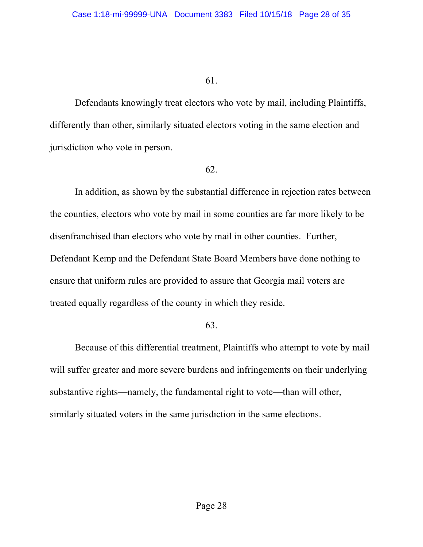Defendants knowingly treat electors who vote by mail, including Plaintiffs, differently than other, similarly situated electors voting in the same election and jurisdiction who vote in person.

## 62.

In addition, as shown by the substantial difference in rejection rates between the counties, electors who vote by mail in some counties are far more likely to be disenfranchised than electors who vote by mail in other counties. Further, Defendant Kemp and the Defendant State Board Members have done nothing to ensure that uniform rules are provided to assure that Georgia mail voters are treated equally regardless of the county in which they reside.

## 63.

Because of this differential treatment, Plaintiffs who attempt to vote by mail will suffer greater and more severe burdens and infringements on their underlying substantive rights—namely, the fundamental right to vote—than will other, similarly situated voters in the same jurisdiction in the same elections.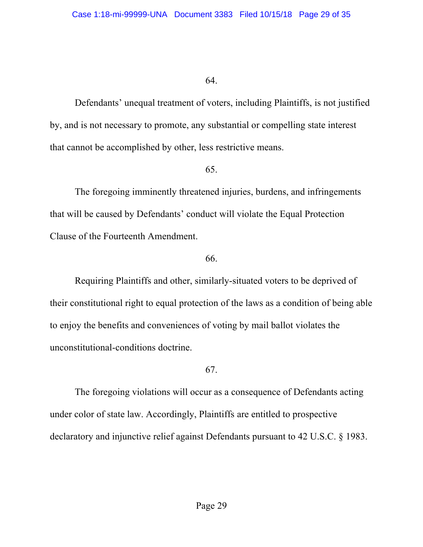Defendants' unequal treatment of voters, including Plaintiffs, is not justified by, and is not necessary to promote, any substantial or compelling state interest that cannot be accomplished by other, less restrictive means.

## 65.

The foregoing imminently threatened injuries, burdens, and infringements that will be caused by Defendants' conduct will violate the Equal Protection Clause of the Fourteenth Amendment.

## 66.

Requiring Plaintiffs and other, similarly-situated voters to be deprived of their constitutional right to equal protection of the laws as a condition of being able to enjoy the benefits and conveniences of voting by mail ballot violates the unconstitutional-conditions doctrine.

## 67.

The foregoing violations will occur as a consequence of Defendants acting under color of state law. Accordingly, Plaintiffs are entitled to prospective declaratory and injunctive relief against Defendants pursuant to 42 U.S.C. § 1983.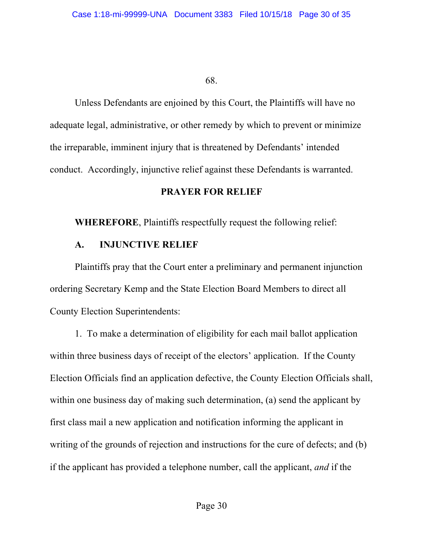Unless Defendants are enjoined by this Court, the Plaintiffs will have no adequate legal, administrative, or other remedy by which to prevent or minimize the irreparable, imminent injury that is threatened by Defendants' intended conduct. Accordingly, injunctive relief against these Defendants is warranted.

## **PRAYER FOR RELIEF**

**WHEREFORE**, Plaintiffs respectfully request the following relief:

# **A. INJUNCTIVE RELIEF**

Plaintiffs pray that the Court enter a preliminary and permanent injunction ordering Secretary Kemp and the State Election Board Members to direct all County Election Superintendents:

1. To make a determination of eligibility for each mail ballot application within three business days of receipt of the electors' application. If the County Election Officials find an application defective, the County Election Officials shall, within one business day of making such determination, (a) send the applicant by first class mail a new application and notification informing the applicant in writing of the grounds of rejection and instructions for the cure of defects; and (b) if the applicant has provided a telephone number, call the applicant, *and* if the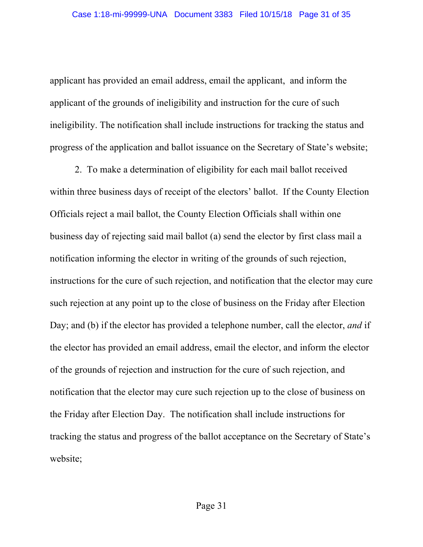applicant has provided an email address, email the applicant, and inform the applicant of the grounds of ineligibility and instruction for the cure of such ineligibility. The notification shall include instructions for tracking the status and progress of the application and ballot issuance on the Secretary of State's website;

2. To make a determination of eligibility for each mail ballot received within three business days of receipt of the electors' ballot. If the County Election Officials reject a mail ballot, the County Election Officials shall within one business day of rejecting said mail ballot (a) send the elector by first class mail a notification informing the elector in writing of the grounds of such rejection, instructions for the cure of such rejection, and notification that the elector may cure such rejection at any point up to the close of business on the Friday after Election Day; and (b) if the elector has provided a telephone number, call the elector, *and* if the elector has provided an email address, email the elector, and inform the elector of the grounds of rejection and instruction for the cure of such rejection, and notification that the elector may cure such rejection up to the close of business on the Friday after Election Day. The notification shall include instructions for tracking the status and progress of the ballot acceptance on the Secretary of State's website;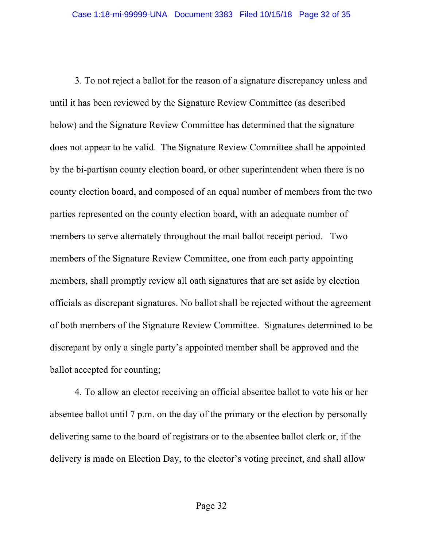3. To not reject a ballot for the reason of a signature discrepancy unless and until it has been reviewed by the Signature Review Committee (as described below) and the Signature Review Committee has determined that the signature does not appear to be valid. The Signature Review Committee shall be appointed by the bi-partisan county election board, or other superintendent when there is no county election board, and composed of an equal number of members from the two parties represented on the county election board, with an adequate number of members to serve alternately throughout the mail ballot receipt period. Two members of the Signature Review Committee, one from each party appointing members, shall promptly review all oath signatures that are set aside by election officials as discrepant signatures. No ballot shall be rejected without the agreement of both members of the Signature Review Committee. Signatures determined to be discrepant by only a single party's appointed member shall be approved and the ballot accepted for counting;

4. To allow an elector receiving an official absentee ballot to vote his or her absentee ballot until 7 p.m. on the day of the primary or the election by personally delivering same to the board of registrars or to the absentee ballot clerk or, if the delivery is made on Election Day, to the elector's voting precinct, and shall allow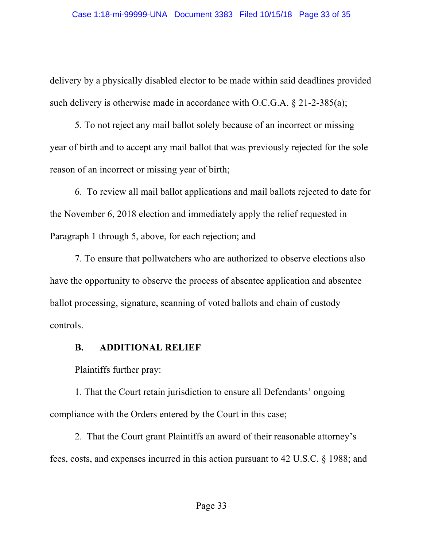delivery by a physically disabled elector to be made within said deadlines provided such delivery is otherwise made in accordance with O.C.G.A. § 21-2-385(a);

5. To not reject any mail ballot solely because of an incorrect or missing year of birth and to accept any mail ballot that was previously rejected for the sole reason of an incorrect or missing year of birth;

6. To review all mail ballot applications and mail ballots rejected to date for the November 6, 2018 election and immediately apply the relief requested in Paragraph 1 through 5, above, for each rejection; and

7. To ensure that pollwatchers who are authorized to observe elections also have the opportunity to observe the process of absentee application and absentee ballot processing, signature, scanning of voted ballots and chain of custody controls.

## **B. ADDITIONAL RELIEF**

Plaintiffs further pray:

1. That the Court retain jurisdiction to ensure all Defendants' ongoing compliance with the Orders entered by the Court in this case;

2. That the Court grant Plaintiffs an award of their reasonable attorney's fees, costs, and expenses incurred in this action pursuant to 42 U.S.C. § 1988; and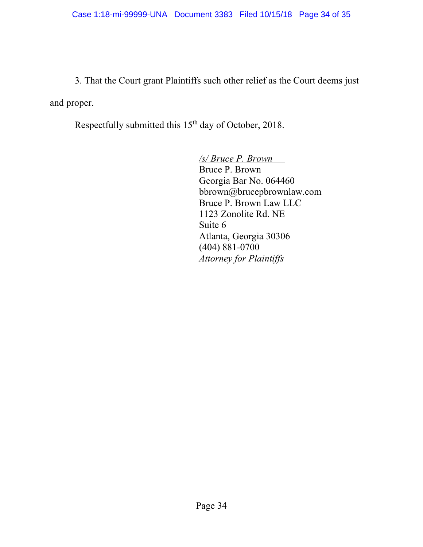3. That the Court grant Plaintiffs such other relief as the Court deems just and proper.

Respectfully submitted this 15<sup>th</sup> day of October, 2018.

*/s/ Bruce P. Brown*  Bruce P. Brown Georgia Bar No. 064460 bbrown@brucepbrownlaw.com Bruce P. Brown Law LLC 1123 Zonolite Rd. NE Suite 6 Atlanta, Georgia 30306 (404) 881-0700 *Attorney for Plaintiffs*